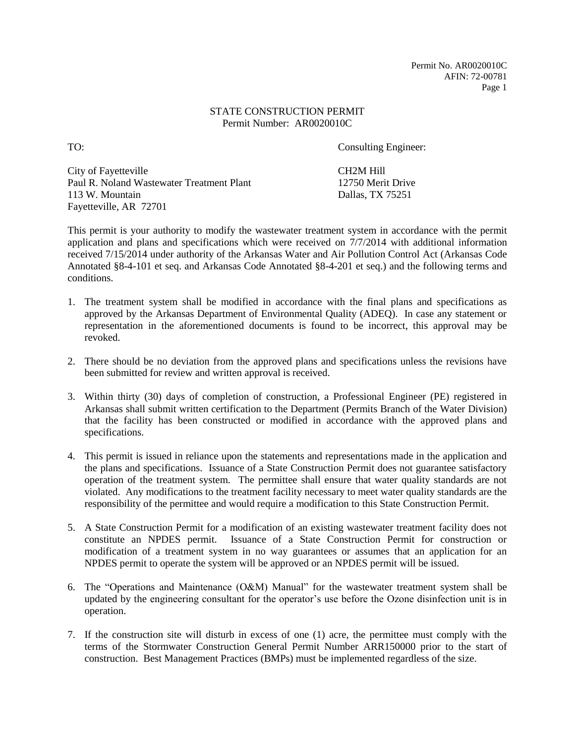Permit No. AR0020010C AFIN: 72-00781 Page 1

### STATE CONSTRUCTION PERMIT Permit Number: AR0020010C

TO: Consulting Engineer:

City of Fayetteville CH2M Hill Paul R. Noland Wastewater Treatment Plant 12750 Merit Drive 113 W. Mountain Dallas, TX 75251 Fayetteville, AR 72701

This permit is your authority to modify the wastewater treatment system in accordance with the permit application and plans and specifications which were received on 7/7/2014 with additional information received 7/15/2014 under authority of the Arkansas Water and Air Pollution Control Act (Arkansas Code Annotated §8-4-101 et seq. and Arkansas Code Annotated §8-4-201 et seq.) and the following terms and conditions.

- 1. The treatment system shall be modified in accordance with the final plans and specifications as approved by the Arkansas Department of Environmental Quality (ADEQ). In case any statement or representation in the aforementioned documents is found to be incorrect, this approval may be revoked.
- 2. There should be no deviation from the approved plans and specifications unless the revisions have been submitted for review and written approval is received.
- 3. Within thirty (30) days of completion of construction, a Professional Engineer (PE) registered in Arkansas shall submit written certification to the Department (Permits Branch of the Water Division) that the facility has been constructed or modified in accordance with the approved plans and specifications.
- 4. This permit is issued in reliance upon the statements and representations made in the application and the plans and specifications. Issuance of a State Construction Permit does not guarantee satisfactory operation of the treatment system. The permittee shall ensure that water quality standards are not violated. Any modifications to the treatment facility necessary to meet water quality standards are the responsibility of the permittee and would require a modification to this State Construction Permit.
- 5. A State Construction Permit for a modification of an existing wastewater treatment facility does not constitute an NPDES permit. Issuance of a State Construction Permit for construction or modification of a treatment system in no way guarantees or assumes that an application for an NPDES permit to operate the system will be approved or an NPDES permit will be issued.
- 6. The "Operations and Maintenance (O&M) Manual" for the wastewater treatment system shall be updated by the engineering consultant for the operator's use before the Ozone disinfection unit is in operation.
- 7. If the construction site will disturb in excess of one (1) acre, the permittee must comply with the terms of the Stormwater Construction General Permit Number ARR150000 prior to the start of construction. Best Management Practices (BMPs) must be implemented regardless of the size.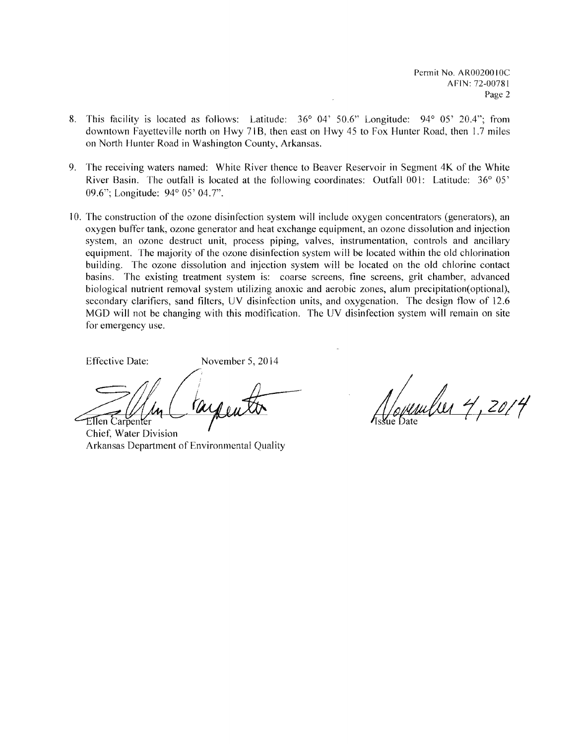Permit No. AR0020010C AFIN: 72-00781 Page 2

- 8. This facility is located as follows: Latitude: 36° 04' 50.6" Longitude: 94° 05' 20.4"; from downtown Fayetteville north on Hwy 71B, then east on Hwy 45 to Fox Hunter Road, then 1.7 miles on North Hunter Road in Washington County, Arkansas.
- 9. The receiving waters named: White River thence to Beaver Reservoir in Segment 4K of the White River Basin. The outfall is located at the following coordinates: Outfall 001: Latitude: 36° 05' 09.6"; Longitude: 94° OS' 04.7".
- 10. The construction of the ozone disinfection system will include oxygen concentrators (generators), an oxygen buffer tank, ozone generator and heat exchange equipment, an ozone dissolution and injection system, an ozone destruct unit, process piping, valves, instrumentation, controls and ancillary equipment. The majority of the ozone disinfection system will be located within the old chlorination building. The ozone dissolution and injection system will be located on the old chlorine eontact basins. The existing treatment system is: coarse screens, fine screens, grit chamber, advanced biological nutrient removal system utilizing anoxic and aerobic zones, alum precipitation(optional), secondary clarifiers, sand filters, UV disinfection units, and oxygenation. The design flow of 12.6 MGD will not be changing with this modification. The UV disinfection system will remain on site for emergency use.

Effective Date: November 5,2014

Ellen Carpenter

Chief, Water Division Arkansas Department of Environmental Quality

unilier 4, 2014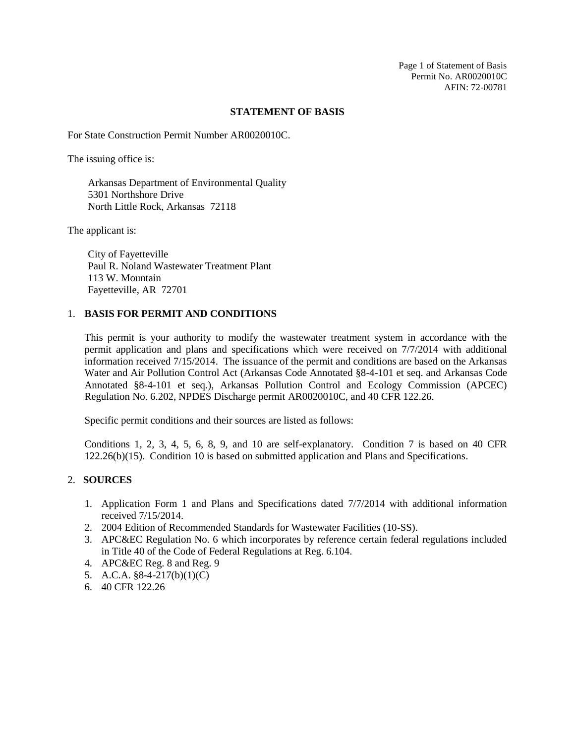Page 1 of Statement of Basis Permit No. AR0020010C AFIN: 72-00781

#### **STATEMENT OF BASIS**

For State Construction Permit Number AR0020010C.

The issuing office is:

Arkansas Department of Environmental Quality 5301 Northshore Drive North Little Rock, Arkansas 72118

The applicant is:

City of Fayetteville Paul R. Noland Wastewater Treatment Plant 113 W. Mountain Fayetteville, AR 72701

#### 1. **BASIS FOR PERMIT AND CONDITIONS**

This permit is your authority to modify the wastewater treatment system in accordance with the permit application and plans and specifications which were received on 7/7/2014 with additional information received 7/15/2014. The issuance of the permit and conditions are based on the Arkansas Water and Air Pollution Control Act (Arkansas Code Annotated §8-4-101 et seq. and Arkansas Code Annotated §8-4-101 et seq.), Arkansas Pollution Control and Ecology Commission (APCEC) Regulation No. 6.202, NPDES Discharge permit AR0020010C, and 40 CFR 122.26.

Specific permit conditions and their sources are listed as follows:

Conditions 1, 2, 3, 4, 5, 6, 8, 9, and 10 are self-explanatory. Condition 7 is based on 40 CFR 122.26(b)(15). Condition 10 is based on submitted application and Plans and Specifications.

## 2. **SOURCES**

- 1. Application Form 1 and Plans and Specifications dated 7/7/2014 with additional information received 7/15/2014.
- 2. 2004 Edition of Recommended Standards for Wastewater Facilities (10-SS).
- 3. APC&EC Regulation No. 6 which incorporates by reference certain federal regulations included in Title 40 of the Code of Federal Regulations at Reg. 6.104.
- 4. APC&EC Reg. 8 and Reg. 9
- 5. A.C.A. §8-4-217(b)(1)(C)
- 6. 40 CFR 122.26